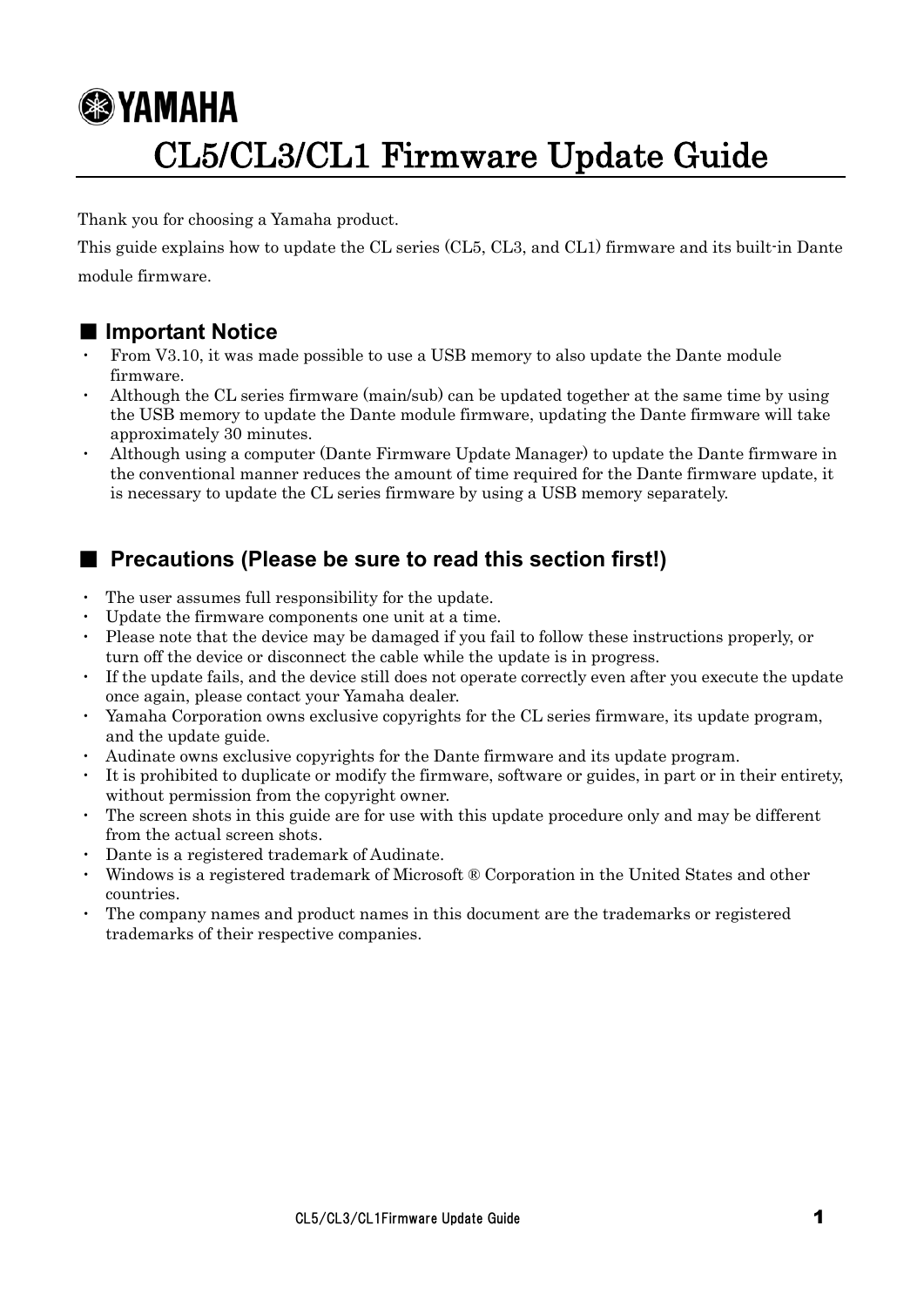# **<sup><sup></sub>**</sup>YAMAHA</sup> CL5/CL3/CL1 Firmware Update Guide

Thank you for choosing a Yamaha product.

This guide explains how to update the CL series (CL5, CL3, and CL1) firmware and its built-in Dante module firmware.

### ■ **Important Notice**

- From V3.10, it was made possible to use a USB memory to also update the Dante module firmware.
- Although the CL series firmware (main/sub) can be updated together at the same time by using the USB memory to update the Dante module firmware, updating the Dante firmware will take approximately 30 minutes.
- ・ Although using a computer (Dante Firmware Update Manager) to update the Dante firmware in the conventional manner reduces the amount of time required for the Dante firmware update, it is necessary to update the CL series firmware by using a USB memory separately.

### ■ **Precautions (Please be sure to read this section first!)**

- The user assumes full responsibility for the update.
- Update the firmware components one unit at a time.
- Please note that the device may be damaged if you fail to follow these instructions properly, or turn off the device or disconnect the cable while the update is in progress.
- If the update fails, and the device still does not operate correctly even after you execute the update once again, please contact your Yamaha dealer.
- ・ Yamaha Corporation owns exclusive copyrights for the CL series firmware, its update program, and the update guide.
- Audinate owns exclusive copyrights for the Dante firmware and its update program.
- It is prohibited to duplicate or modify the firmware, software or guides, in part or in their entirety, without permission from the copyright owner.
- The screen shots in this guide are for use with this update procedure only and may be different from the actual screen shots.
- Dante is a registered trademark of Audinate.
- ・ Windows is a registered trademark of Microsoft ® Corporation in the United States and other countries.
- The company names and product names in this document are the trademarks or registered trademarks of their respective companies.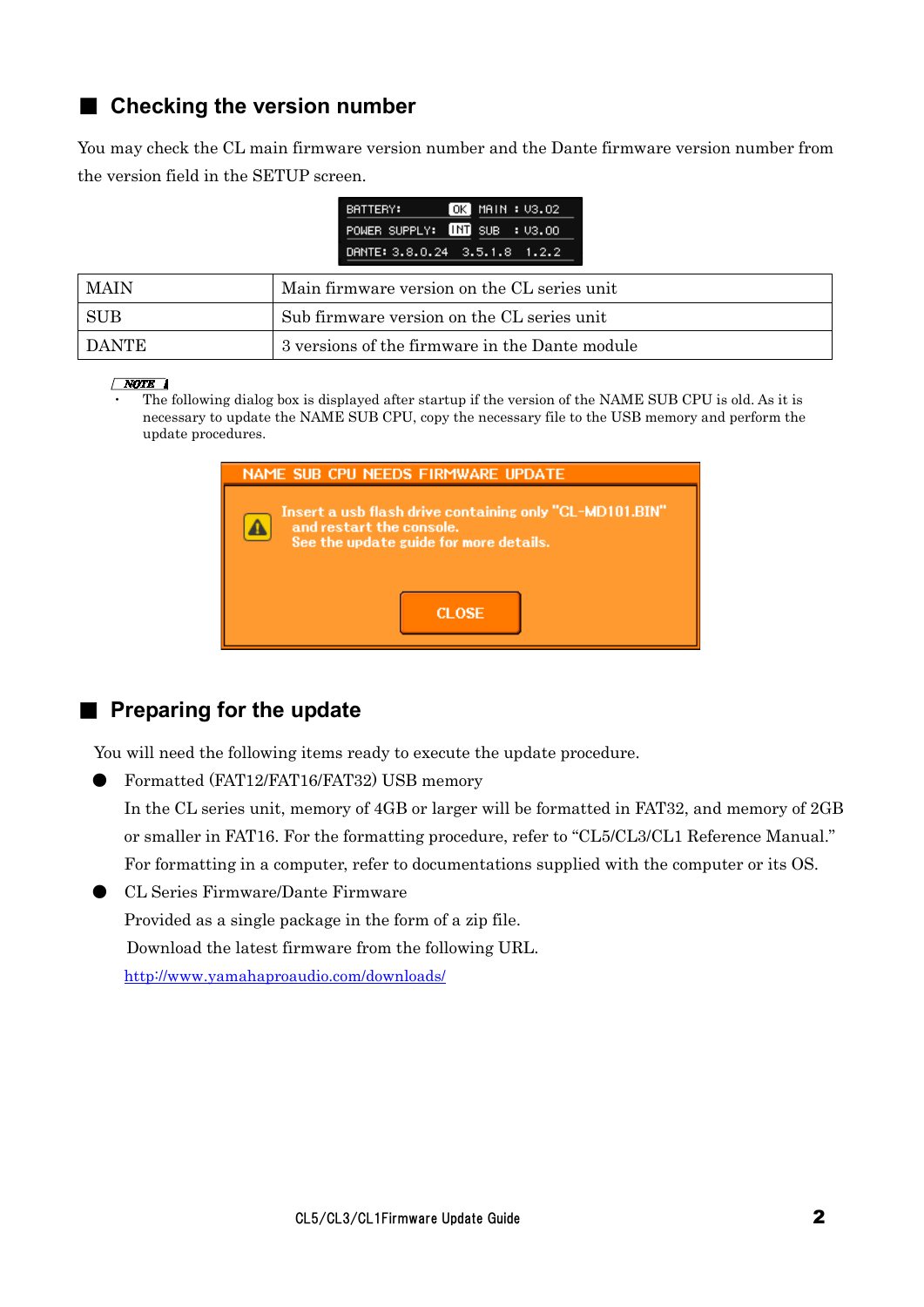### ■ Checking the version number

You may check the CL main firmware version number and the Dante firmware version number from the version field in the SETUP screen.

| BATTERY: | OK   MAIN : V3.O2             |
|----------|-------------------------------|
|          | POWER SUPPLY: INT SUB : U3.00 |
|          | DANTE: 3.8.0.24 3.5.1.8 1.2.2 |

| <b>MAIN</b> | Main firmware version on the CL series unit    |
|-------------|------------------------------------------------|
| - SUB       | Sub firmware version on the CL series unit     |
| I DANTE     | 3 versions of the firmware in the Dante module |

#### $\sqrt{NOTE}$

The following dialog box is displayed after startup if the version of the NAME SUB CPU is old. As it is necessary to update the NAME SUB CPU, copy the necessary file to the USB memory and perform the update procedures.

| NAME SUB CPU NEEDS FIRMWARE UPDATE                                                                                            |
|-------------------------------------------------------------------------------------------------------------------------------|
| Insert a usb flash drive containing only "CL-MD101.BIN"<br>and restart the console.<br>See the update guide for more details. |
| <b>CLOSE</b>                                                                                                                  |

### ■ **Preparing for the update**

You will need the following items ready to execute the update procedure.

● Formatted (FAT12/FAT16/FAT32) USB memory

In the CL series unit, memory of 4GB or larger will be formatted in FAT32, and memory of 2GB or smaller in FAT16. For the formatting procedure, refer to "CL5/CL3/CL1 Reference Manual." For formatting in a computer, refer to documentations supplied with the computer or its OS.

● CL Series Firmware/Dante Firmware Provided as a single package in the form of a zip file. Download the latest firmware from the following URL. <http://www.yamahaproaudio.com/downloads/>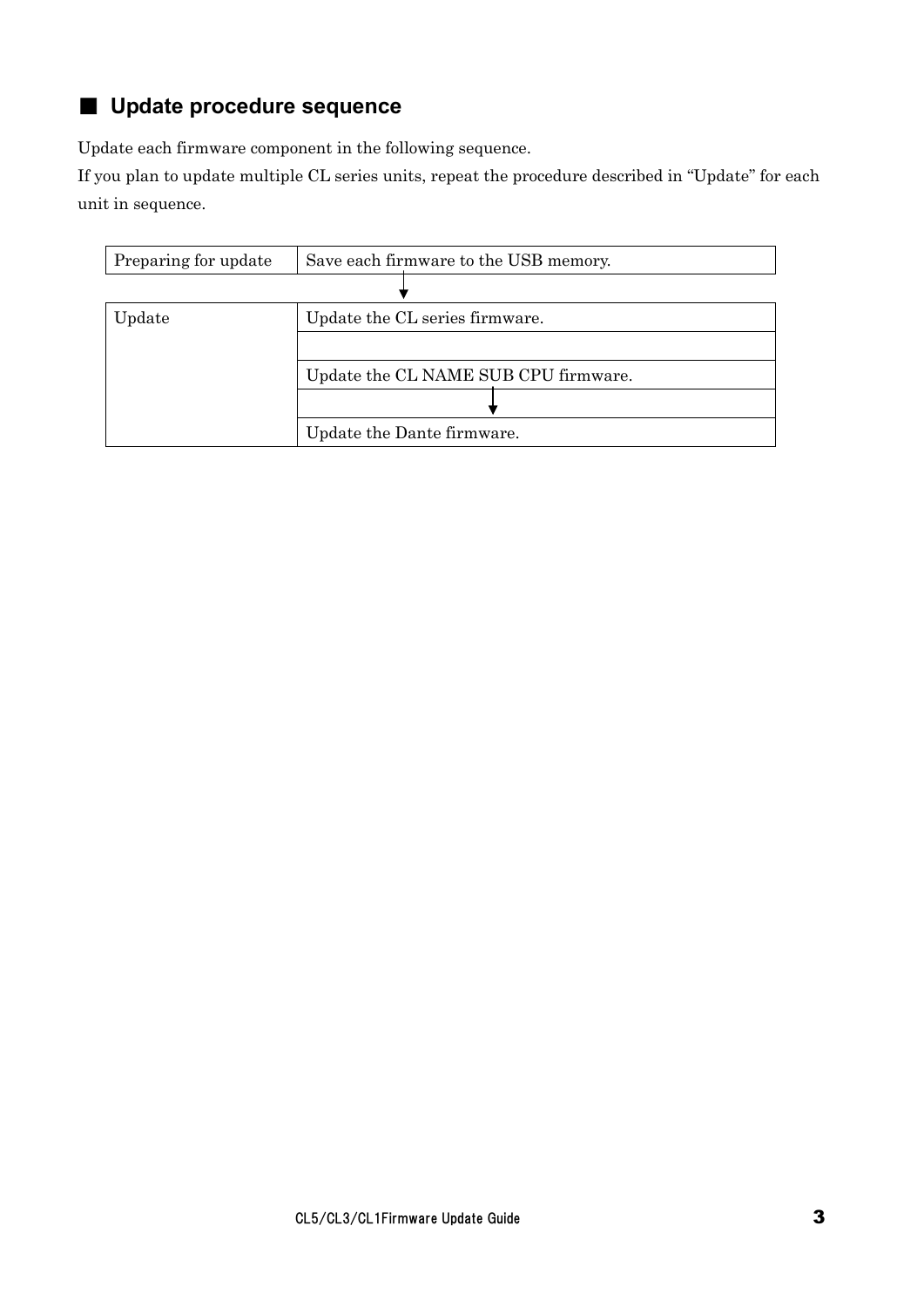## ■ **Update procedure sequence**

Update each firmware component in the following sequence.

If you plan to update multiple CL series units, repeat the procedure described in "Update" for each unit in sequence.

| Preparing for update | Save each firmware to the USB memory. |
|----------------------|---------------------------------------|
|                      |                                       |
| Update               | Update the CL series firmware.        |
|                      |                                       |
|                      | Update the CL NAME SUB CPU firmware.  |
|                      |                                       |
|                      | Update the Dante firmware.            |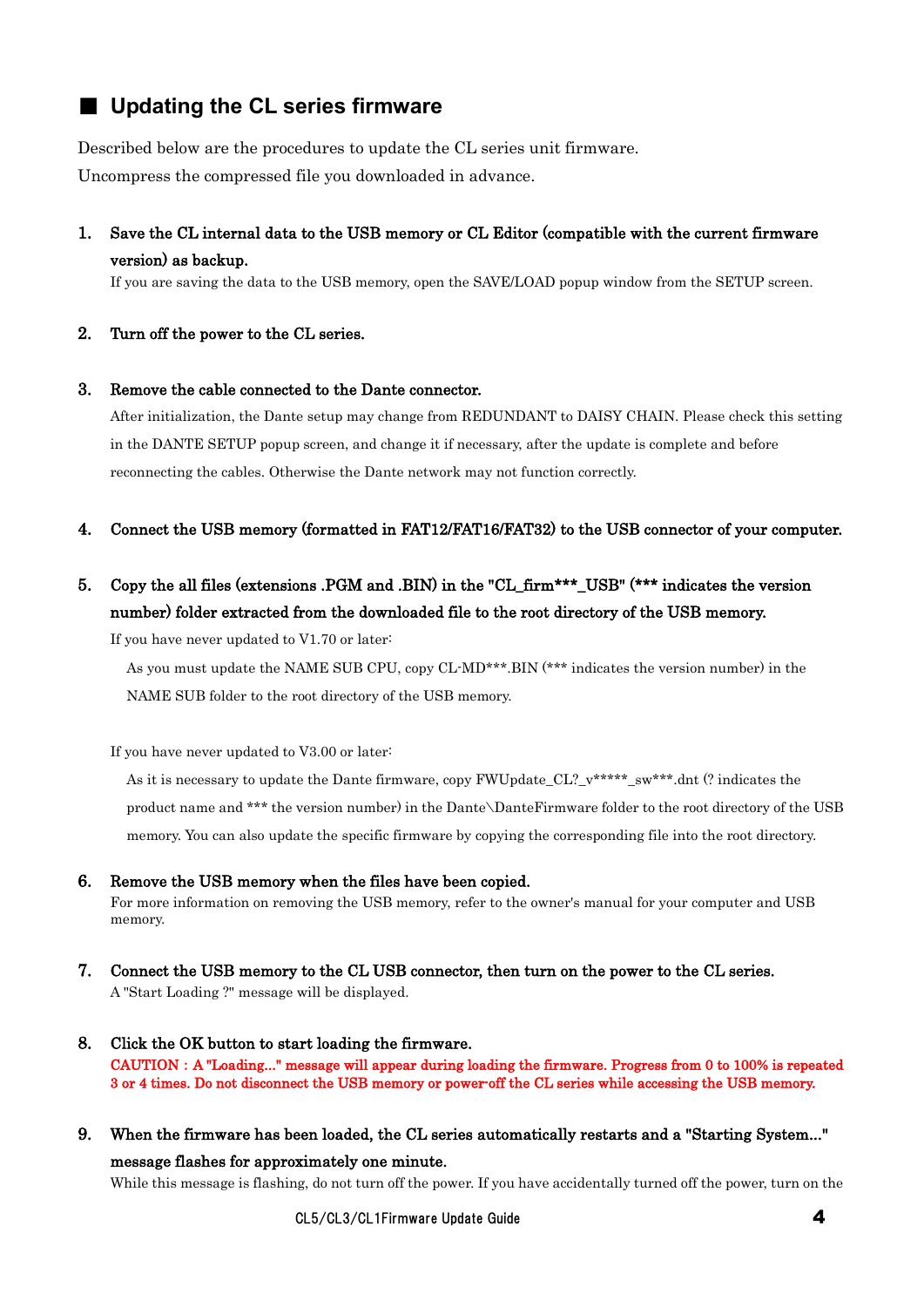### ■ **Updating the CL series firmware**

Described below are the procedures to update the CL series unit firmware. Uncompress the compressed file you downloaded in advance.

1. Save the CL internal data to the USB memory or CL Editor (compatible with the current firmware version) as backup.

If you are saving the data to the USB memory, open the SAVE/LOAD popup window from the SETUP screen.

2. Turn off the power to the CL series.

#### 3. Remove the cable connected to the Dante connector.

After initialization, the Dante setup may change from REDUNDANT to DAISY CHAIN. Please check this setting in the DANTE SETUP popup screen, and change it if necessary, after the update is complete and before reconnecting the cables. Otherwise the Dante network may not function correctly.

- 4. Connect the USB memory (formatted in FAT12/FAT16/FAT32) to the USB connector of your computer.
- 5. Copy the all files (extensions .PGM and .BIN) in the "CL\_firm\*\*\*\_USB" (\*\*\* indicates the version number) folder extracted from the downloaded file to the root directory of the USB memory.

If you have never updated to V1.70 or later:

As you must update the NAME SUB CPU, copy CL-MD\*\*\*.BIN (\*\*\* indicates the version number) in the NAME SUB folder to the root directory of the USB memory.

If you have never updated to V3.00 or later:

As it is necessary to update the Dante firmware, copy FWUpdate CL?  $v^{****}$  sw\*\*\*.dnt (? indicates the product name and \*\*\* the version number) in the Dante\DanteFirmware folder to the root directory of the USB memory. You can also update the specific firmware by copying the corresponding file into the root directory.

#### 6. Remove the USB memory when the files have been copied.

For more information on removing the USB memory, refer to the owner's manual for your computer and USB memory.

- 7. Connect the USB memory to the CL USB connector, then turn on the power to the CL series. A "Start Loading ?" message will be displayed.
- 8. Click the OK button to start loading the firmware. CAUTION:A "Loading..." message will appear during loading the firmware. Progress from 0 to 100% is repeated 3 or 4 times. Do not disconnect the USB memory or power-off the CL series while accessing the USB memory.
- 9. When the firmware has been loaded, the CL series automatically restarts and a "Starting System..." message flashes for approximately one minute.

While this message is flashing, do not turn off the power. If you have accidentally turned off the power, turn on the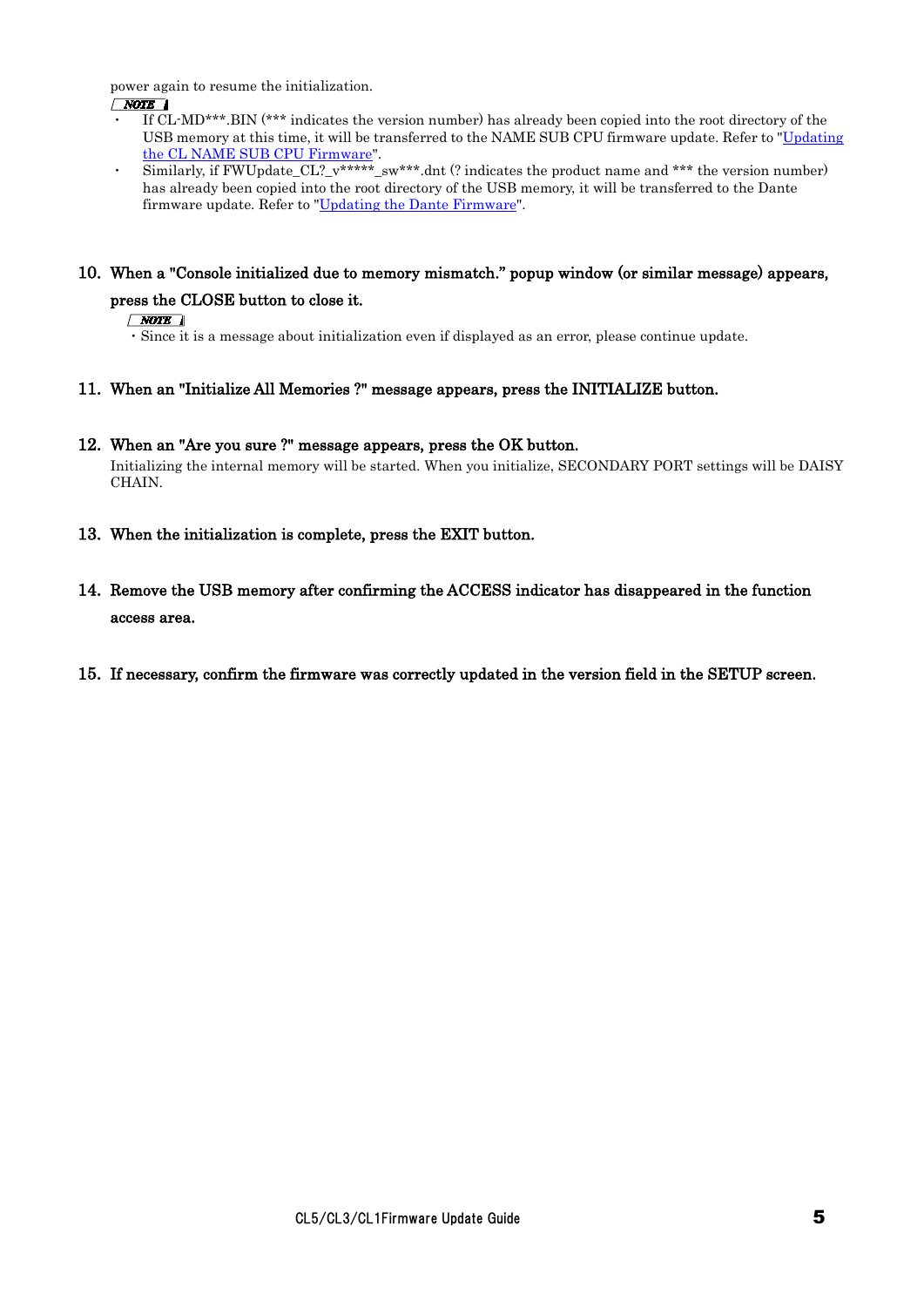power again to resume the initialization.

#### $\sqrt{NOTE}$

- ・ If CL-MD\*\*\*.BIN (\*\*\* indicates the version number) has already been copied into the root directory of the USB memory at this time, it will be transferred to the NAME SUB CPU firmware update. Refer to ["Updating](#page-4-0)  [the CL NAME SUB CPU Firmware"](#page-4-0).
- Similarly, if FWUpdate\_CL?\_v\*\*\*\*\*\_sw\*\*\*.dnt (? indicates the product name and \*\*\* the version number) has already been copied into the root directory of the USB memory, it will be transferred to the Dante firmware update. Refer to ["Updating the Dante Firmware"](#page-6-0).

### 10. When a "Console initialized due to memory mismatch." popup window (or similar message) appears, press the CLOSE button to close it.

#### $\sqrt{NOTE}$

・Since it is a message about initialization even if displayed as an error, please continue update.

11. When an "Initialize All Memories ?" message appears, press the INITIALIZE button.

#### 12. When an "Are you sure ?" message appears, press the OK button.

Initializing the internal memory will be started. When you initialize, SECONDARY PORT settings will be DAISY CHAIN.

- 13. When the initialization is complete, press the EXIT button.
- 14. Remove the USB memory after confirming the ACCESS indicator has disappeared in the function access area.
- <span id="page-4-0"></span>15. If necessary, confirm the firmware was correctly updated in the version field in the SETUP screen.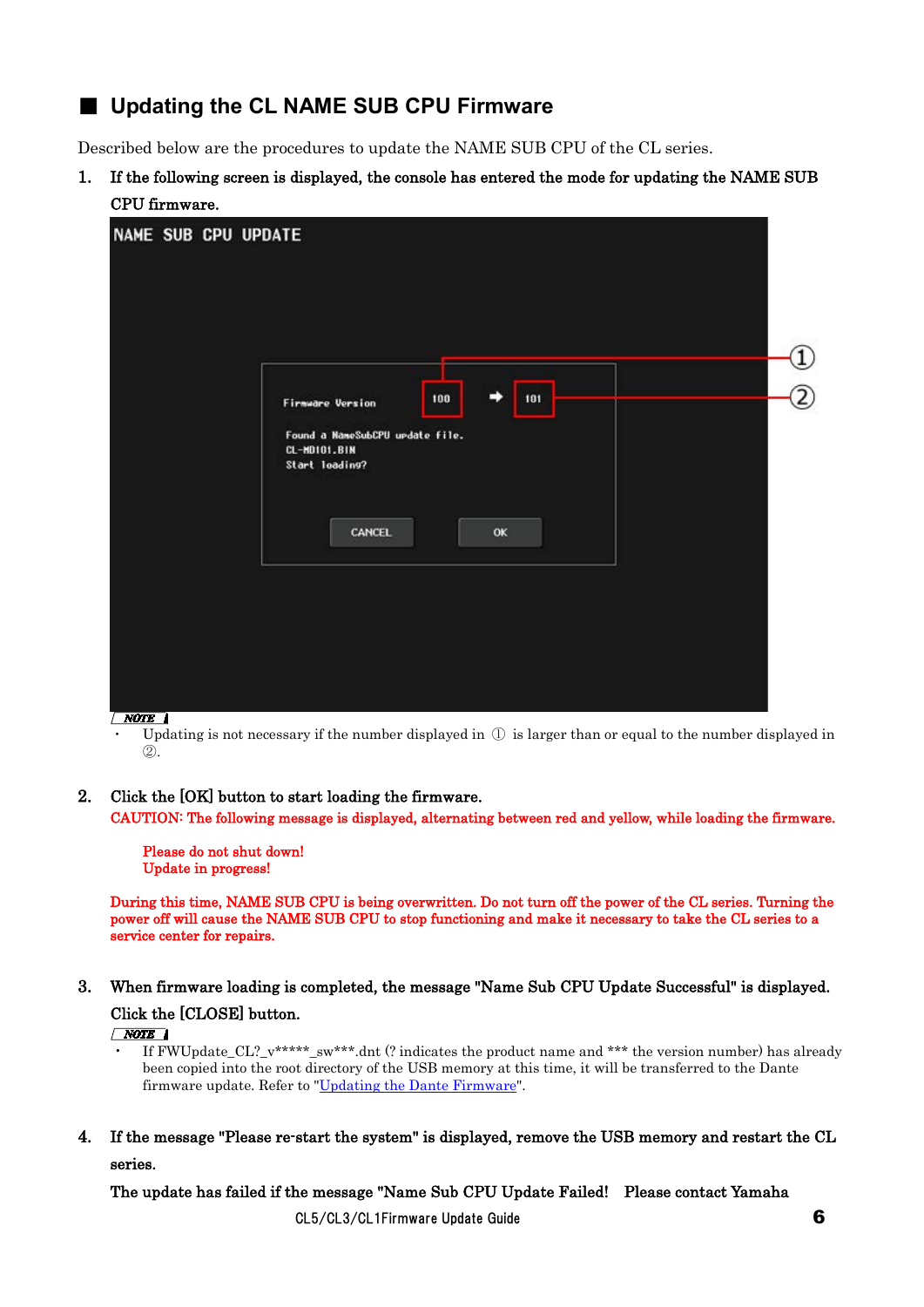### ■ Updating the **CL NAME SUB CPU Firmware**

Described below are the procedures to update the NAME SUB CPU of the CL series.

1. If the following screen is displayed, the console has entered the mode for updating the NAME SUB CPU firmware.



Updating is not necessary if the number displayed in  $\mathbb D$  is larger than or equal to the number displayed in ②.

2. Click the [OK] button to start loading the firmware.

CAUTION: The following message is displayed, alternating between red and yellow, while loading the firmware.

 Please do not shut down! Update in progress!

During this time, NAME SUB CPU is being overwritten. Do not turn off the power of the CL series. Turning the power off will cause the NAME SUB CPU to stop functioning and make it necessary to take the CL series to a service center for repairs.

#### 3. When firmware loading is completed, the message "Name Sub CPU Update Successful" is displayed.

#### Click the [CLOSE] button.

 $\sqrt{NOTE}$ 

- If FWUpdate\_CL?\_v\*\*\*\*\*\_sw\*\*\*.dnt (? indicates the product name and \*\*\* the version number) has already been copied into the root directory of the USB memory at this time, it will be transferred to the Dante firmware update. Refer to ["Updating the Dante Firmware"](#page-6-0).
- 4. If the message "Please re-start the system" is displayed, remove the USB memory and restart the CL series.

The update has failed if the message "Name Sub CPU Update Failed! Please contact Yamaha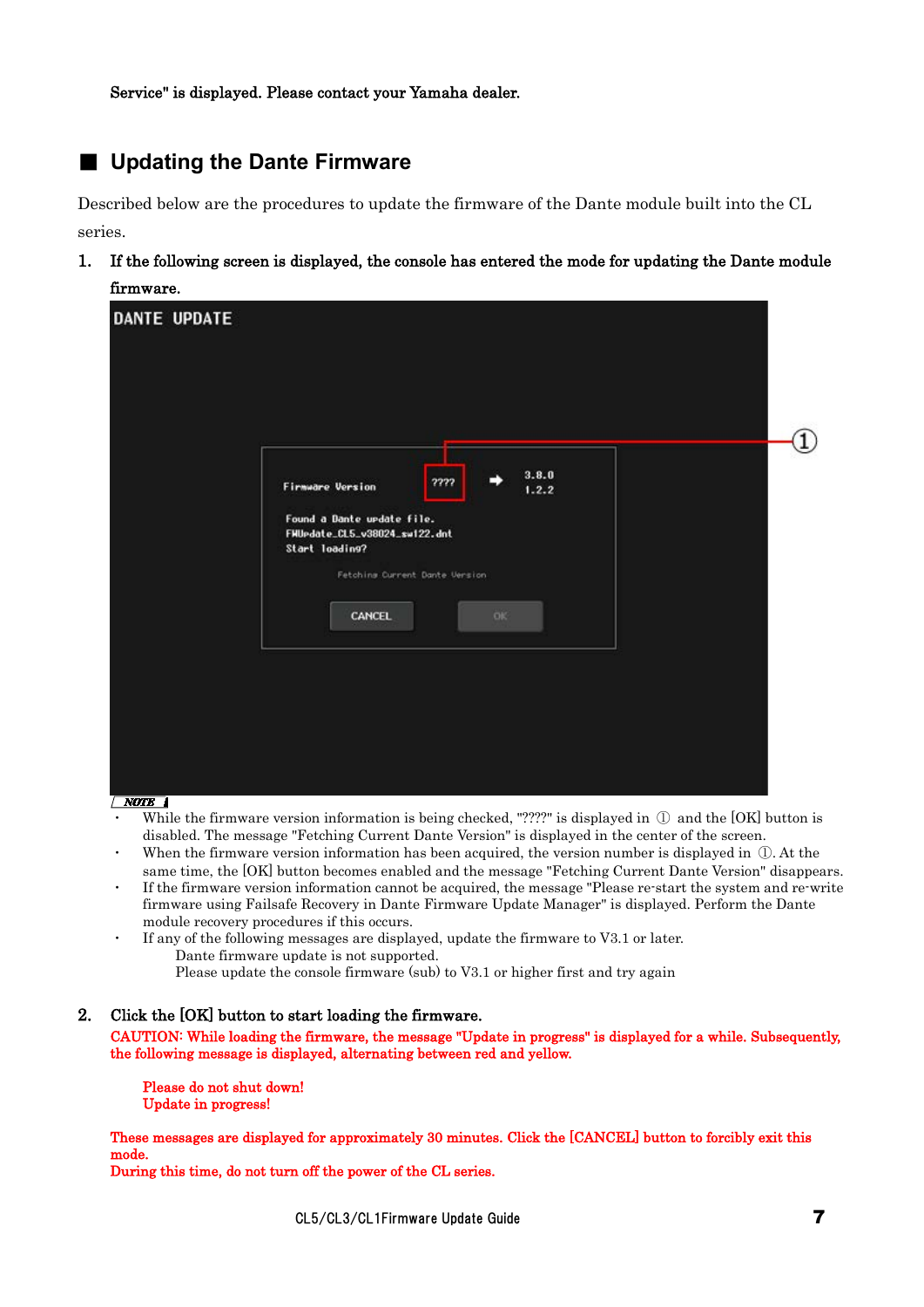<span id="page-6-0"></span>

### ■ Updating the Dante Firmware

Described below are the procedures to update the firmware of the Dante module built into the CL series.

1. If the following screen is displayed, the console has entered the mode for updating the Dante module firmware.

| <b>DANTE UPDATE</b> |                                                                               |  |
|---------------------|-------------------------------------------------------------------------------|--|
|                     |                                                                               |  |
|                     |                                                                               |  |
|                     | 3.8.0<br>????<br><b>Firmware Version</b><br>1.2.2                             |  |
|                     | Found a Dante update file.<br>FMUpdate_CL5_v38024_sw122.dnt<br>Start loading? |  |
|                     | Fetching Current Dante Version<br>CANCEL<br><b>OK</b>                         |  |
|                     |                                                                               |  |
|                     |                                                                               |  |
|                     |                                                                               |  |

 $\sqrt{NOTE}$ 

- While the firmware version information is being checked, "????" is displayed in  $\mathbb O$  and the [OK] button is disabled. The message "Fetching Current Dante Version" is displayed in the center of the screen.
- When the firmware version information has been acquired, the version number is displayed in  $\mathbb{D}$ . At the same time, the [OK] button becomes enabled and the message "Fetching Current Dante Version" disappears.
- If the firmware version information cannot be acquired, the message "Please re-start the system and re-write firmware using Failsafe Recovery in Dante Firmware Update Manager" is displayed. Perform the Dante module recovery procedures if this occurs.
- If any of the following messages are displayed, update the firmware to V3.1 or later. Dante firmware update is not supported. Please update the console firmware (sub) to V3.1 or higher first and try again

#### 2. Click the [OK] button to start loading the firmware.

CAUTION: While loading the firmware, the message "Update in progress" is displayed for a while. Subsequently, the following message is displayed, alternating between red and yellow.

 Please do not shut down! Update in progress!

These messages are displayed for approximately 30 minutes. Click the [CANCEL] button to forcibly exit this mode.

During this time, do not turn off the power of the CL series.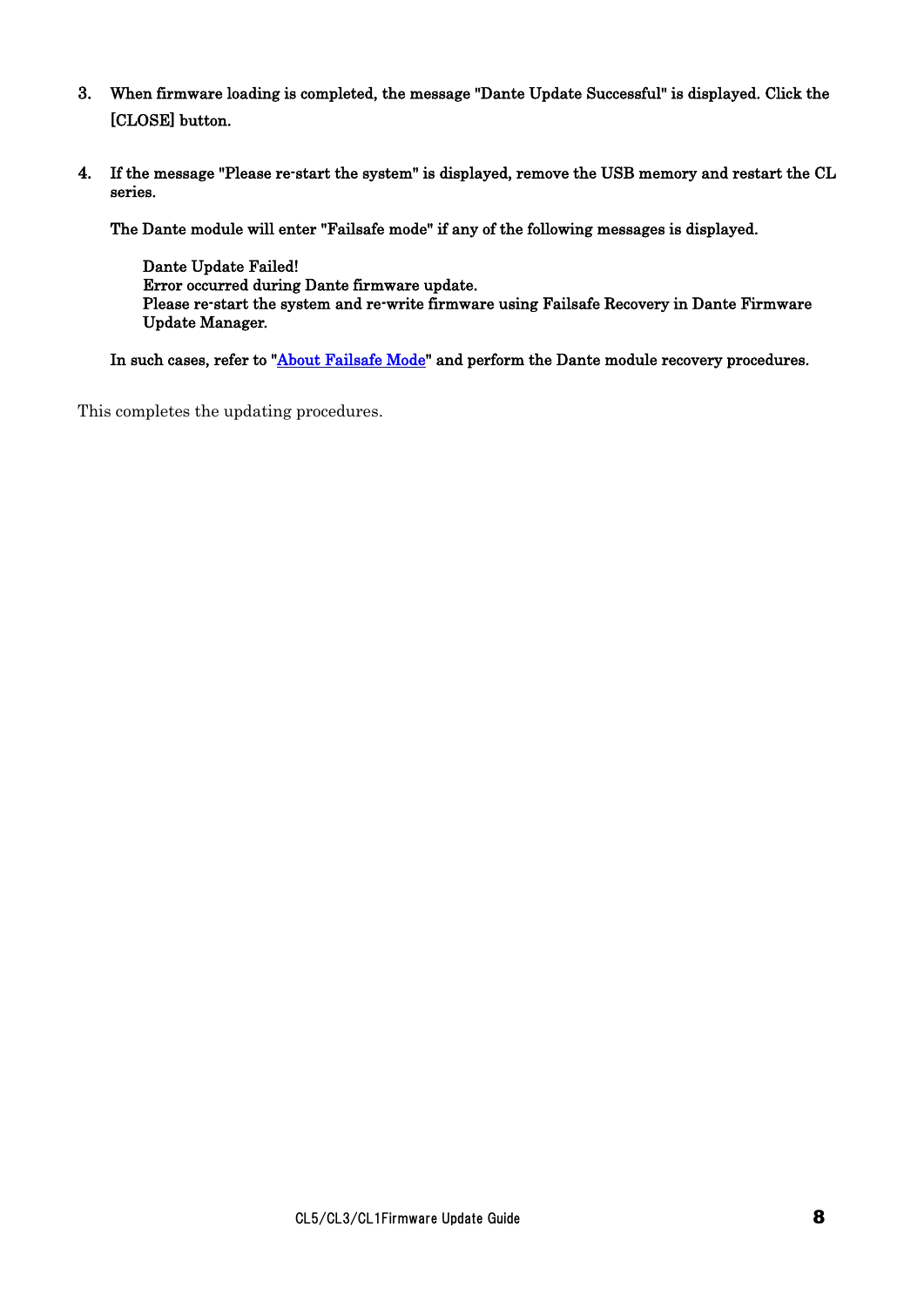- 3. When firmware loading is completed, the message "Dante Update Successful" is displayed. Click the [CLOSE] button.
- 4. If the message "Please re-start the system" is displayed, remove the USB memory and restart the CL series.

The Dante module will enter "Failsafe mode" if any of the following messages is displayed.

Dante Update Failed! Error occurred during Dante firmware update. Please re-start the system and re-write firmware using Failsafe Recovery in Dante Firmware Update Manager.

In such cases, refer to "**About Failsafe Mode**" and perform the Dante module recovery procedures.

This completes the updating procedures.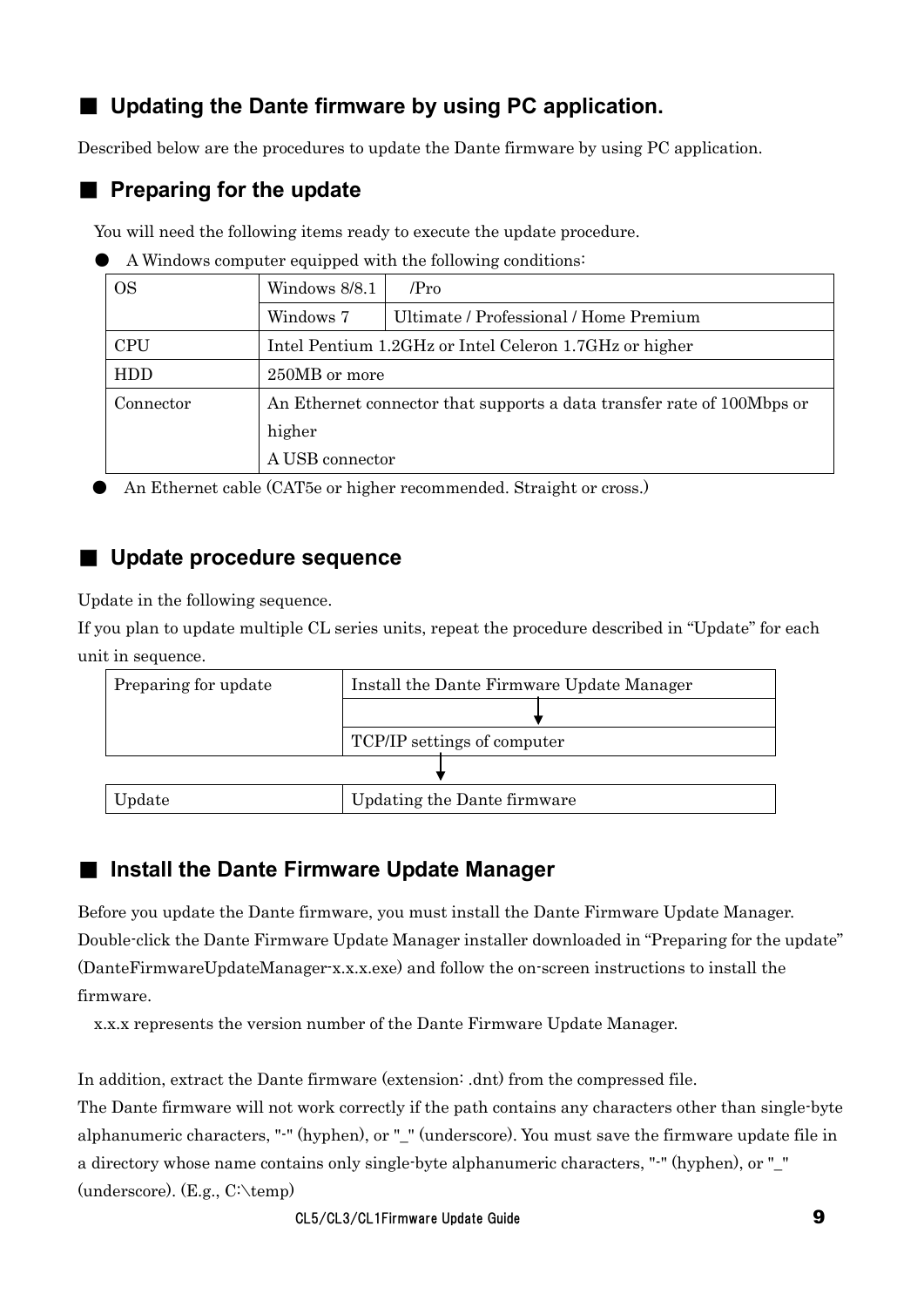## ■ Updating the Dante firmware by using PC application.

Described below are the procedures to update the Dante firmware by using PC application.

### **Preparing for the update**

You will need the following items ready to execute the update procedure.

| A Windows computer equipped with the following conditions: |  |  |  |
|------------------------------------------------------------|--|--|--|

| <b>OS</b>  | Windows 8/8.1<br>/Pro |                                                                        |  |  |
|------------|-----------------------|------------------------------------------------------------------------|--|--|
|            | Windows 7             | Ultimate / Professional / Home Premium                                 |  |  |
| <b>CPU</b> |                       | Intel Pentium 1.2GHz or Intel Celeron 1.7GHz or higher                 |  |  |
| HDD        | 250MB or more         |                                                                        |  |  |
| Connector  |                       | An Ethernet connector that supports a data transfer rate of 100Mbps or |  |  |
|            | higher                |                                                                        |  |  |
|            | A USB connector       |                                                                        |  |  |

An Ethernet cable (CAT5e or higher recommended. Straight or cross.)

### ■ **Update procedure sequence**

Update in the following sequence.

If you plan to update multiple CL series units, repeat the procedure described in "Update" for each unit in sequence.



### <span id="page-8-0"></span>■ Install the Dante Firmware Update Manager

Before you update the Dante firmware, you must install the Dante Firmware Update Manager. Double-click the Dante Firmware Update Manager installer downloaded in "Preparing for the update" (DanteFirmwareUpdateManager-x.x.x.exe) and follow the on-screen instructions to install the firmware.

x.x.x represents the version number of the Dante Firmware Update Manager.

In addition, extract the Dante firmware (extension: .dnt) from the compressed file.

The Dante firmware will not work correctly if the path contains any characters other than single-byte alphanumeric characters, "-" (hyphen), or "\_" (underscore). You must save the firmware update file in a directory whose name contains only single-byte alphanumeric characters, "-" (hyphen), or "\_" (underscore). (E.g., C:\temp)

CL5/CL3/CL1Firmware Update Guide 9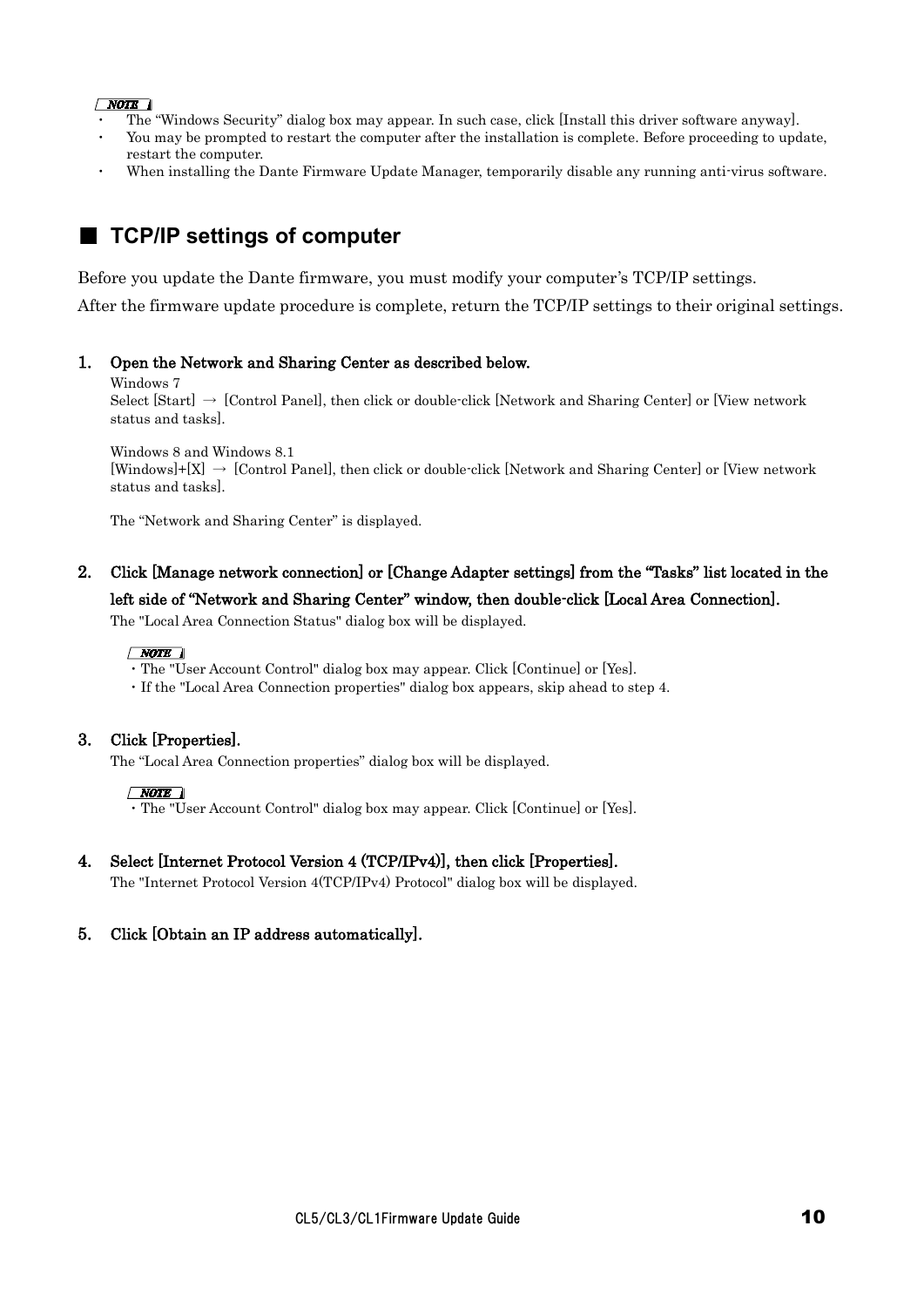#### $\sqrt{NOTE}$

- The "Windows Security" dialog box may appear. In such case, click [Install this driver software anyway].
- You may be prompted to restart the computer after the installation is complete. Before proceeding to update, restart the computer.
- When installing the Dante Firmware Update Manager, temporarily disable any running anti-virus software.

### <span id="page-9-0"></span>■ **TCP/IP** settings of computer

Before you update the Dante firmware, you must modify your computer's TCP/IP settings.

After the firmware update procedure is complete, return the TCP/IP settings to their original settings.

#### 1. Open the Network and Sharing Center as described below.

Windows 7

Select  $[Start] \rightarrow [Control Panel]$ , then click or double-click [Network and Sharing Center] or [View network status and tasks].

Windows 8 and Windows 8.1

 $[Windows]+[X] \rightarrow [Control Panel, then click or double-click [Network and Sharing Center] or [View network]$ status and tasks].

The "Network and Sharing Center" is displayed.

2. Click [Manage network connection] or [Change Adapter settings] from the "Tasks" list located in the left side of "Network and Sharing Center" window, then double-click [Local Area Connection].

The "Local Area Connection Status" dialog box will be displayed.

#### $\sqrt{NOTE}$

・The "User Account Control" dialog box may appear. Click [Continue] or [Yes].

・If the "Local Area Connection properties" dialog box appears, skip ahead to step 4.

#### 3. Click [Properties].

The "Local Area Connection properties" dialog box will be displayed.

#### $\sqrt{NOTE}$

・The "User Account Control" dialog box may appear. Click [Continue] or [Yes].

#### 4. Select [Internet Protocol Version 4 (TCP/IPv4)], then click [Properties].

The "Internet Protocol Version 4(TCP/IPv4) Protocol" dialog box will be displayed.

#### 5. Click [Obtain an IP address automatically].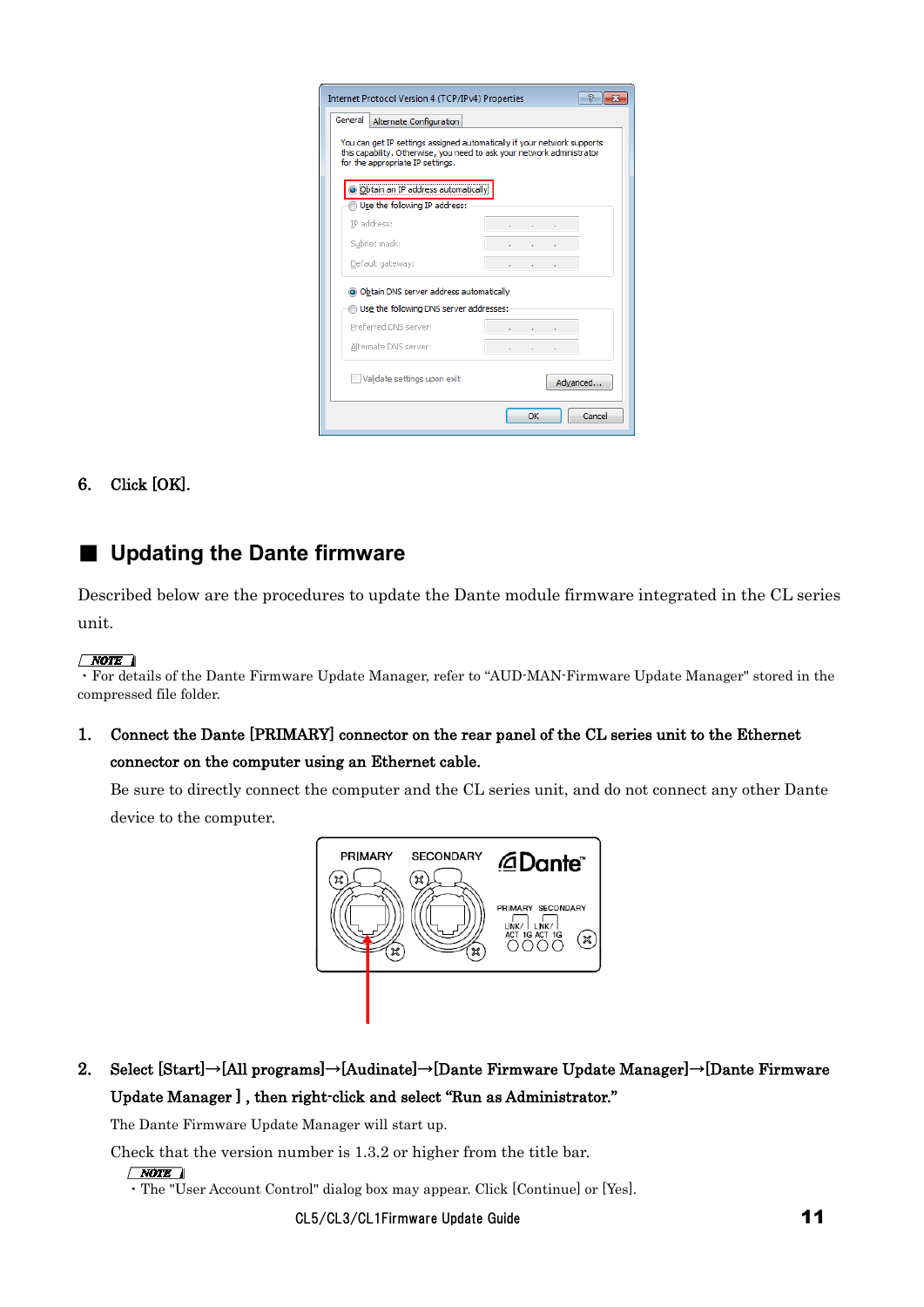| Internet Protocol Version 4 (TCP/IPv4) Properties                                                                                                                                     |    | D        |
|---------------------------------------------------------------------------------------------------------------------------------------------------------------------------------------|----|----------|
| General<br>Alternate Configuration                                                                                                                                                    |    |          |
| You can get IP settings assigned automatically if your network supports<br>this capability. Otherwise, you need to ask your network administrator<br>for the appropriate IP settings. |    |          |
| o Obtain an IP address automatically                                                                                                                                                  |    |          |
| Use the following IP address:                                                                                                                                                         |    |          |
| IP address:                                                                                                                                                                           |    |          |
| Subnet mask:                                                                                                                                                                          |    |          |
| Default gateway:                                                                                                                                                                      |    |          |
| io Obtain DNS server address automatically                                                                                                                                            |    |          |
| Use the following DNS server addresses:                                                                                                                                               |    |          |
| Preferred DNS server:                                                                                                                                                                 |    |          |
| Alternate DNS server:                                                                                                                                                                 |    |          |
| Validate settings upon exit                                                                                                                                                           |    | Advanced |
|                                                                                                                                                                                       | OK | Cancel   |

6. Click [OK].

### <span id="page-10-0"></span>■ **Updating the Dante firmware**

Described below are the procedures to update the Dante module firmware integrated in the CL series unit.

#### $\sqrt{NOTE}$

・For details of the Dante Firmware Update Manager, refer to "AUD-MAN-Firmware Update Manager" stored in the compressed file folder.

1. Connect the Dante [PRIMARY] connector on the rear panel of the CL series unit to the Ethernet connector on the computer using an Ethernet cable.

Be sure to directly connect the computer and the CL series unit, and do not connect any other Dante device to the computer.



### 2. Select [Start]→[All programs]→[Audinate]→[Dante Firmware Update Manager]→[Dante Firmware Update Manager ] , then right-click and select "Run as Administrator."

The Dante Firmware Update Manager will start up.

Check that the version number is 1.3.2 or higher from the title bar.

 $\sqrt{NOTE}$ 

CL5/CL3/CL1Firmware Update Guide 11

<sup>・</sup>The "User Account Control" dialog box may appear. Click [Continue] or [Yes].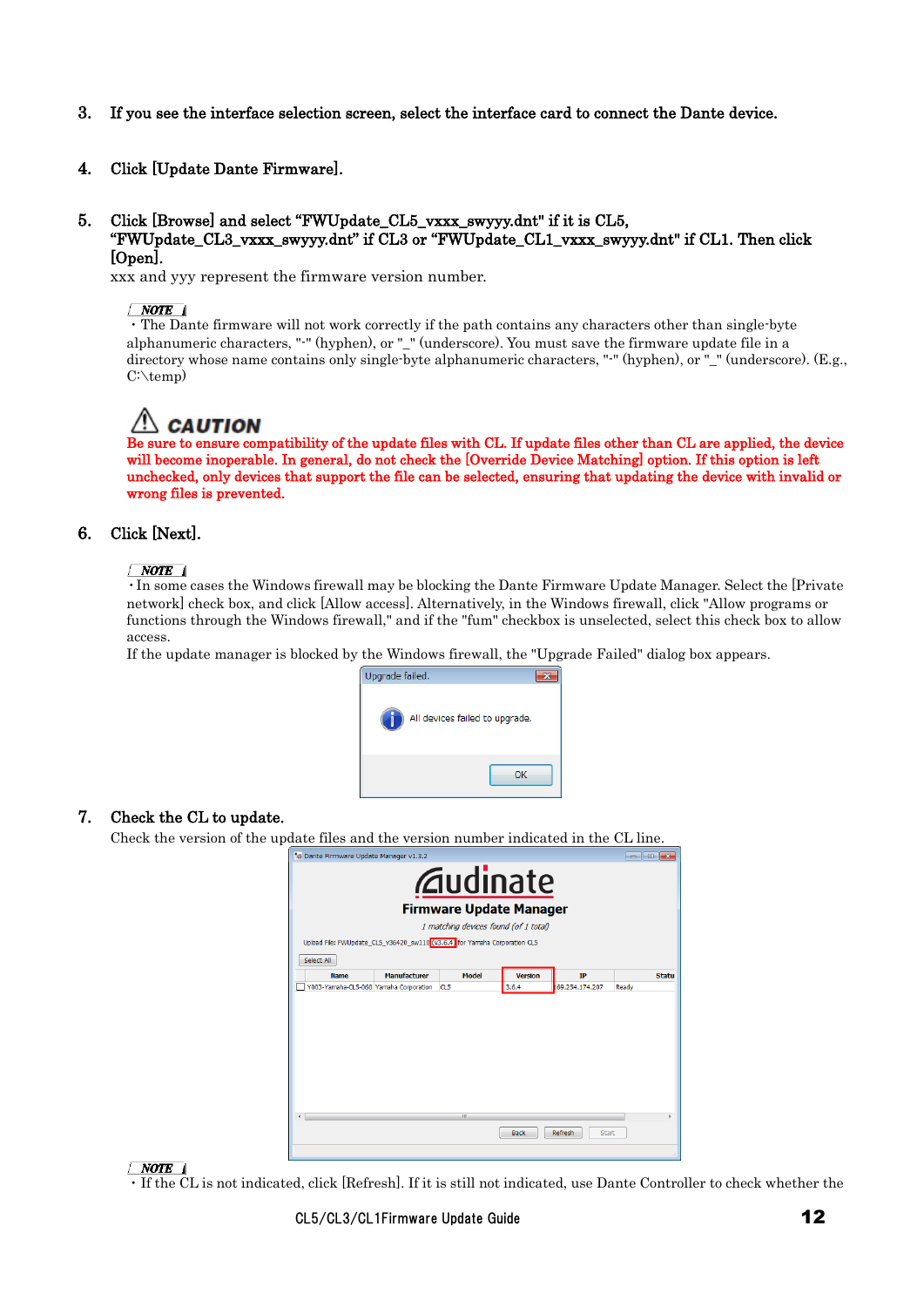- 3. If you see the interface selection screen, select the interface card to connect the Dante device.
- 4. Click [Update Dante Firmware].

#### 5. Click [Browse] and select "FWUpdate\_CL5\_vxxx\_swyyy.dnt" if it is CL5, "FWUpdate\_CL3\_vxxx\_swyyy.dnt" if CL3 or "FWUpdate\_CL1\_vxxx\_swyyy.dnt" if CL1. Then click [Open].

xxx and yyy represent the firmware version number.

 $\fbox{\parbox{12cm} {\begin{minipage}{0.5cm} \begin{tabular}{l} \hline \textbf{NOTE} \\ \hline \textbf{.} \end{tabular} \end{minipage}} } \begin{minipage}{0.5cm} \begin{tabular}{l} \hline \textbf{.} \end{tabular} \end{minipage}} \end{minipage} } \begin{minipage}{0.5cm} \begin{tabular}{l} \hline \textbf{.} \end{tabular} \end{minipage}} \end{minipage} } \begin{minipage}{0.5cm} \begin{tabular}{l} \hline \textbf{.} \end{tabular} \end{minipage}} \end{minipage} } \begin{minipage}{$ alphanumeric characters, "-" (hyphen), or "\_" (underscore). You must save the firmware update file in a directory whose name contains only single-byte alphanumeric characters, "-" (hyphen), or "\_" (underscore). (E.g., C:\temp)

 $\Box$  **CAUTION**<br>Be sure to ensure compatibility of the update files with CL. If update files other than CL are applied, the device will become inoperable. In general, do not check the [Override Device Matching] option. If this option is left unchecked, only devices that support the file can be selected, ensuring that updating the device with invalid or wrong files is prevented.

#### 6. Click [Next].

#### $\sqrt{NOTE}$

・In some cases the Windows firewall may be blocking the Dante Firmware Update Manager. Select the [Private network] check box, and click [Allow access]. Alternatively, in the Windows firewall, click "Allow programs or functions through the Windows firewall," and if the "fum" checkbox is unselected, select this check box to allow access.

If the update manager is blocked by the Windows firewall, the "Upgrade Failed" dialog box appears.



#### 7. Check the CL to update.

Check the version of the update files and the version number indicated in the CL line.



 $\sqrt{NOTE}$ 

・If the CL is not indicated, click [Refresh]. If it is still not indicated, use Dante Controller to check whether the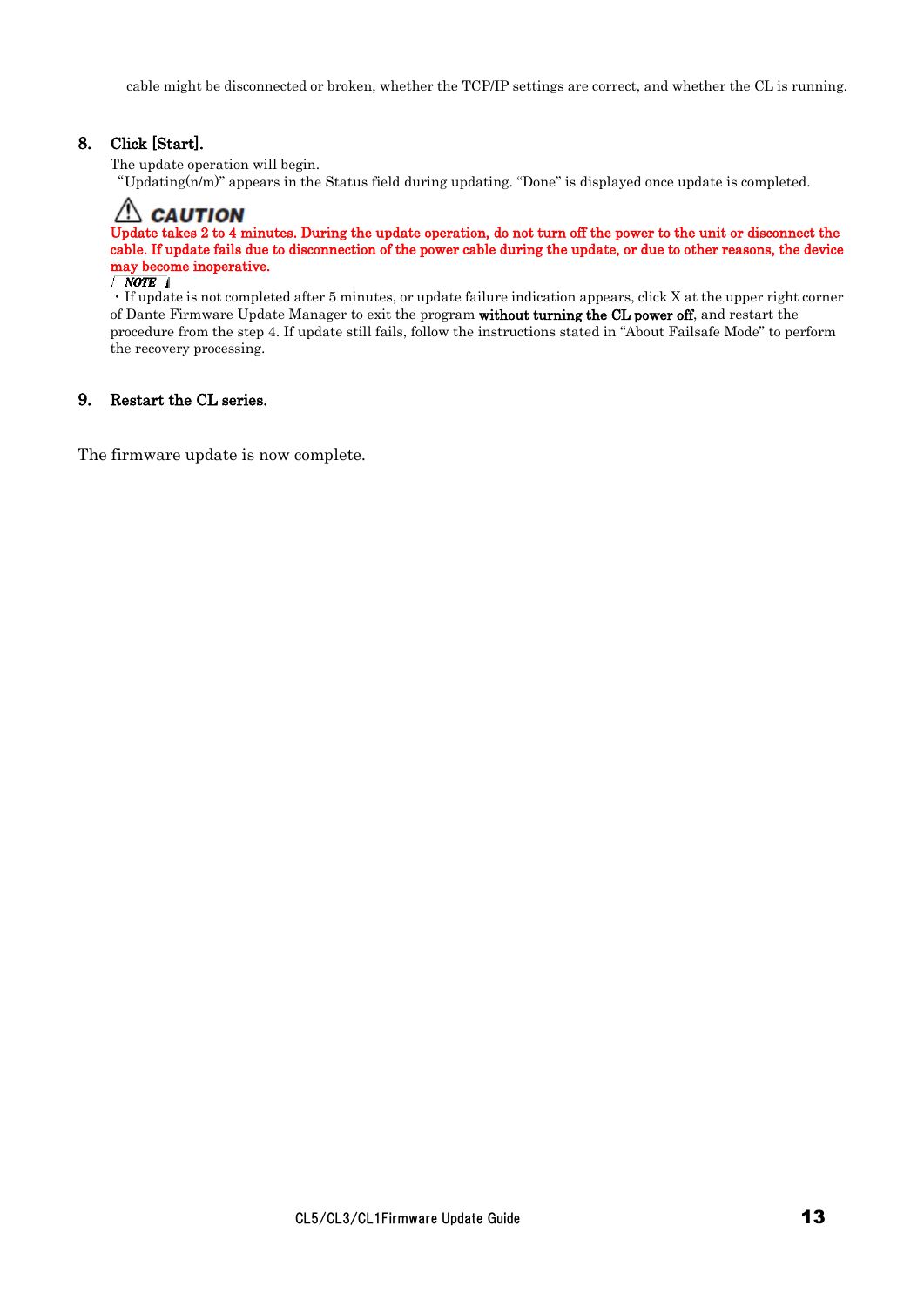cable might be disconnected or broken, whether the TCP/IP settings are correct, and whether the CL is running.

#### 8. Click [Start].

The update operation will begin.

"Updating(n/m)" appears in the Status field during updating. "Done" is displayed once update is completed.

### $\triangle$  CAUTION Update takes 2 to 4 minutes. During the update operation, do not turn off the power to the unit or disconnect the cable. If update fails due to disconnection of the power cable during the update, or due to other reasons, the device  $\frac{may\ become\ inoperative.}{\sqrt{NOTE}}$

 $\cdot$  If update is not completed after 5 minutes, or update failure indication appears, click X at the upper right corner of Dante Firmware Update Manager to exit the program without turning the CL power off, and restart the procedure from the step 4. If update still fails, follow the instructions stated in "About Failsafe Mode" to perform the recovery processing.

#### 9. Restart the CL series.

<span id="page-12-0"></span>The firmware update is now complete.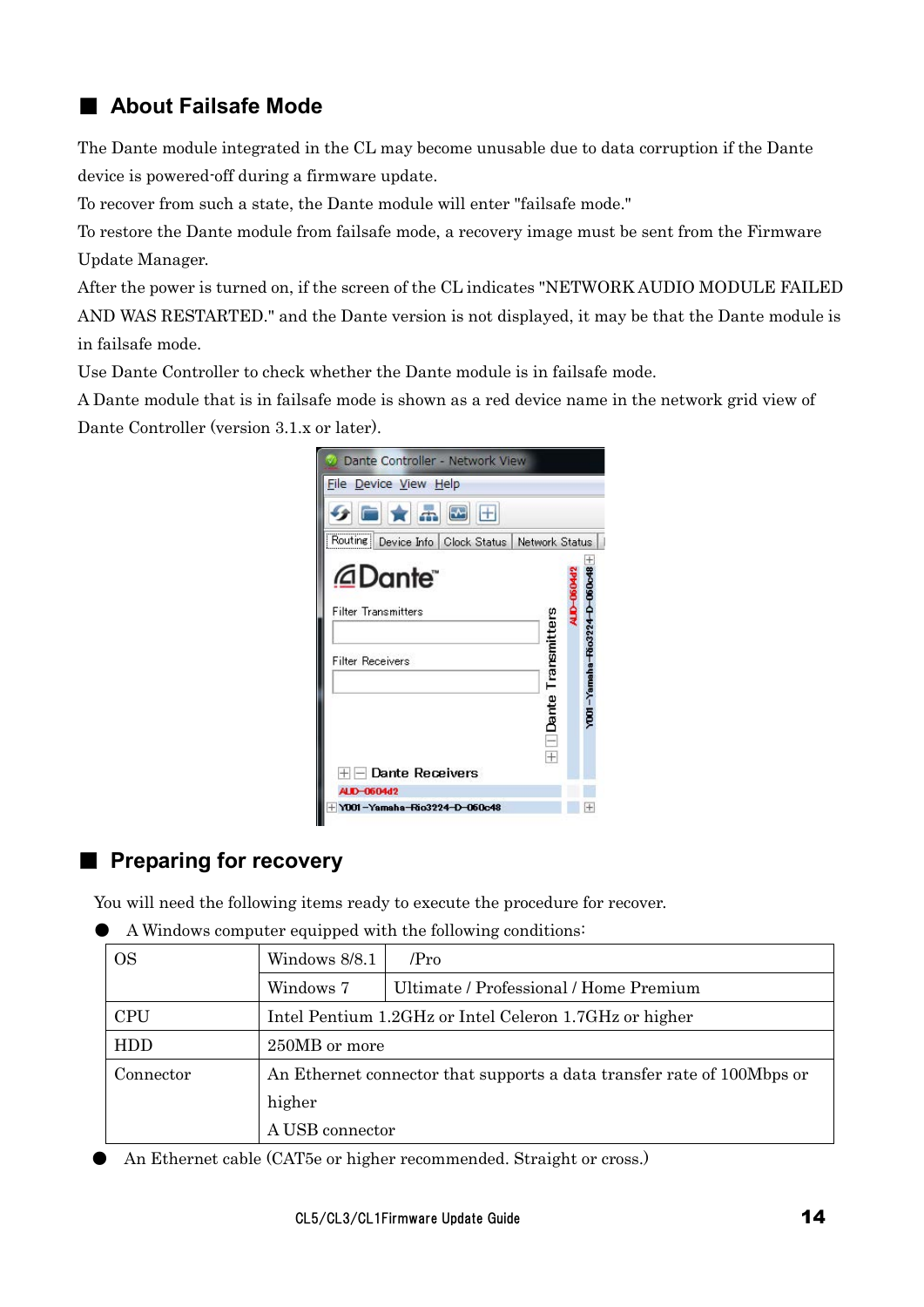### ■ **About Failsafe Mode**

The Dante module integrated in the CL may become unusable due to data corruption if the Dante device is powered-off during a firmware update.

To recover from such a state, the Dante module will enter "failsafe mode."

To restore the Dante module from failsafe mode, a recovery image must be sent from the Firmware Update Manager.

After the power is turned on, if the screen of the CL indicates "NETWORK AUDIO MODULE FAILED AND WAS RESTARTED." and the Dante version is not displayed, it may be that the Dante module is in failsafe mode.

Use Dante Controller to check whether the Dante module is in failsafe mode.

A Dante module that is in failsafe mode is shown as a red device name in the network grid view of Dante Controller (version 3.1.x or later).



### ■ **Preparing for recovery**

You will need the following items ready to execute the procedure for recover.

| <b>OS</b>  | Windows 8/8.1   | /Pro                                                                   |
|------------|-----------------|------------------------------------------------------------------------|
|            | Windows 7       | Ultimate / Professional / Home Premium                                 |
| <b>CPU</b> |                 | Intel Pentium 1.2GHz or Intel Celeron 1.7GHz or higher                 |
| <b>HDD</b> | 250MB or more   |                                                                        |
| Connector  |                 | An Ethernet connector that supports a data transfer rate of 100Mbps or |
|            | higher          |                                                                        |
|            | A USB connector |                                                                        |

A Windows computer equipped with the following conditions:

An Ethernet cable (CAT5e or higher recommended. Straight or cross.)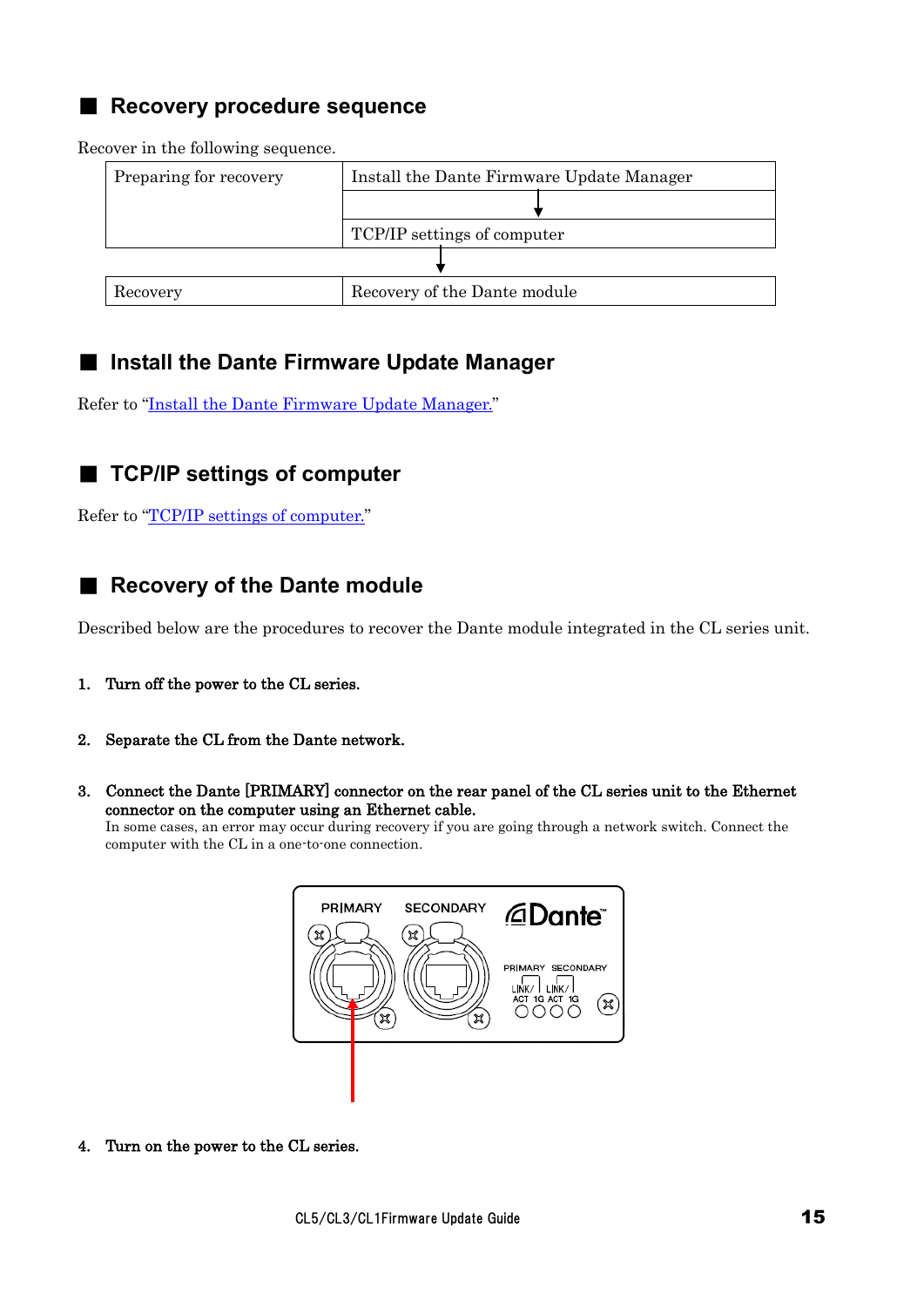### ■ **Recovery procedure sequence**

Recover in the following sequence.

| Preparing for recovery | Install the Dante Firmware Update Manager |
|------------------------|-------------------------------------------|
|                        |                                           |
|                        | TCP/IP settings of computer               |
|                        |                                           |
| Recovery               | Recovery of the Dante module              |

### ■ Install the Dante Firmware Update Manager

Refer to ["Install the Dante Firmware Update Manager."](#page-8-0)

### ■ **TCP/IP settings of computer**

Refer to ["TCP/IP settings of computer."](#page-9-0)

### ■ **Recovery of the Dante module**

Described below are the procedures to recover the Dante module integrated in the CL series unit.

- 1. Turn off the power to the CL series.
- 2. Separate the CL from the Dante network.
- 3. Connect the Dante [PRIMARY] connector on the rear panel of the CL series unit to the Ethernet connector on the computer using an Ethernet cable.

In some cases, an error may occur during recovery if you are going through a network switch. Connect the computer with the CL in a one-to-one connection.



4. Turn on the power to the CL series.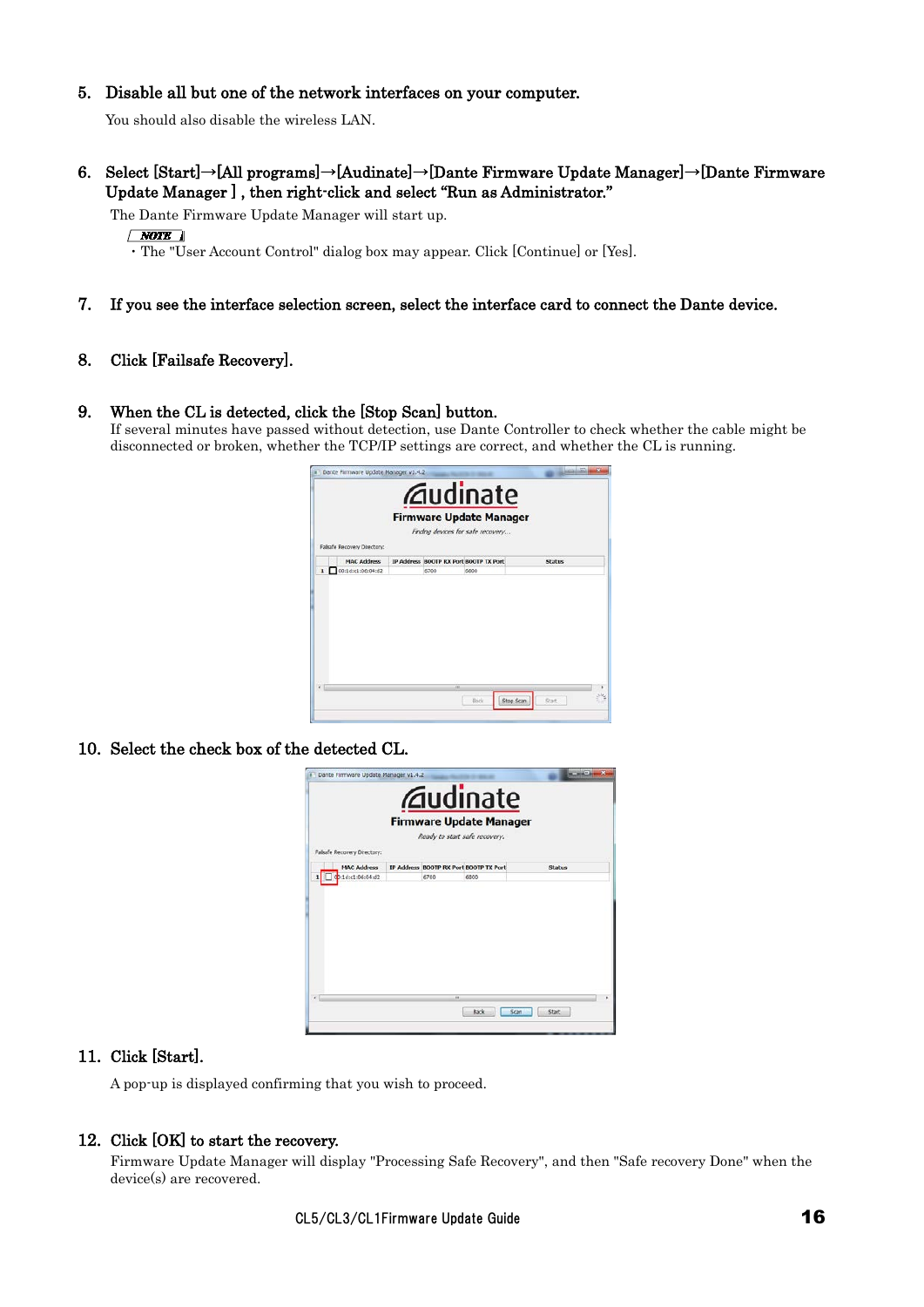#### 5. Disable all but one of the network interfaces on your computer.

You should also disable the wireless LAN.

6. Select [Start]→[All programs]→[Audinate]→[Dante Firmware Update Manager]→[Dante Firmware Update Manager ] , then right-click and select "Run as Administrator."

The Dante Firmware Update Manager will start up.

 $\sqrt{NOTE}$ 

・The "User Account Control" dialog box may appear. Click [Continue] or [Yes].

#### 7. If you see the interface selection screen, select the interface card to connect the Dante device.

#### 8. Click [Failsafe Recovery].

#### 9. When the CL is detected, click the [Stop Scan] button.

If several minutes have passed without detection, use Dante Controller to check whether the cable might be disconnected or broken, whether the TCP/IP settings are correct, and whether the CL is running.



10. Select the check box of the detected CL.



#### 11. Click [Start].

A pop-up is displayed confirming that you wish to proceed.

#### 12. Click [OK] to start the recovery.

Firmware Update Manager will display "Processing Safe Recovery", and then "Safe recovery Done" when the device(s) are recovered.